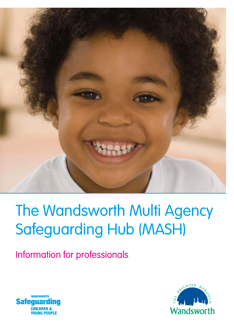

# The Wandsworth Multi Agency Safeguarding Hub (MASH)

Information for professionals



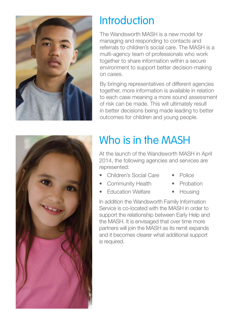

### Introduction

The Wandsworth MASH is a new model for managing and responding to contacts and referrals to children's social care. The MASH is a multi-agency team of professionals who work together to share information within a secure environment to support better decision-making on cases.

By bringing representatives of different agencies together, more information is available in relation to each case meaning a more sound assessment of risk can be made. This will ultimately result in better decisions being made leading to better outcomes for children and young people.



# Who is in the MASH

At the launch of the Wandsworth MASH in April 2014, the following agencies and services are represented:

- Children's Social Care Police
	-
- Community Health Probation
	-
- **Education Welfare Housing** 
	-

In addition the Wandsworth Family Information Service is co-located with the MASH in order to support the relationship between Early Help and the MASH. It is envisaged that over time more partners will join the MASH as its remit expands and it becomes clearer what additional support is required.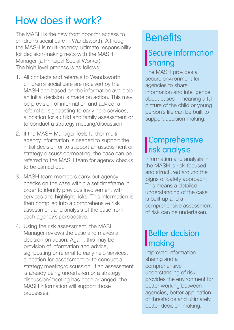## How does it work?

The MASH is the new front door for access to children's social care in Wandsworth. Although the MASH is multi-agency, ultimate responsibility for decision-making rests with the MASH Manager (a Principal Social Worker). The high level process is as follows:

- 1. All contacts and referrals to Wandsworth children's social care are received by the MASH and based on the information available an initial decision is made on action. This may be provision of information and advice, a referral or signposting to early help services, allocation for a child and family assessment or to conduct a strategy meeting/discussion.
- 2. If the MASH Manager feels further multiagency information is needed to support the initial decision or to support an assessment or strategy discussion/meeting, the case can be referred to the MASH team for agency checks to be carried out.
- 3. MASH team members carry out agency checks on the case within a set timeframe in order to identify previous involvement with services and highlight risks. This information is then compiled into a comprehensive risk assessment and analysis of the case from each agency's perspective.
- 4. Using the risk assessment, the MASH Manager reviews the case and makes a decision on action. Again, this may be provision of information and advice, signposting or referral to early help services. allocation for assessment or to conduct a strategy meeting/discussion. If an assessment is already being undertaken or a strategy discussion/meeting has been arranged, the MASH information will support those processes.

### **Benefits**

#### Secure information **Sharing**

The MASH provides a secure environment for agencies to share information and intelligence about cases – meaning a full picture of the child or young person's life can be built to support decision making.

#### **Comprehensive** risk analysis

Information and analysis in the MASH is risk-focused and structured around the Signs of Safety approach. This means a detailed understanding of the case is built up and a comprehensive assessment of risk can be undertaken.

#### **Better decision I**making

Improved information sharing and a comprehensive understanding of risk provides the environment for better working between agencies, better application of thresholds and ultimately, better decision-making.